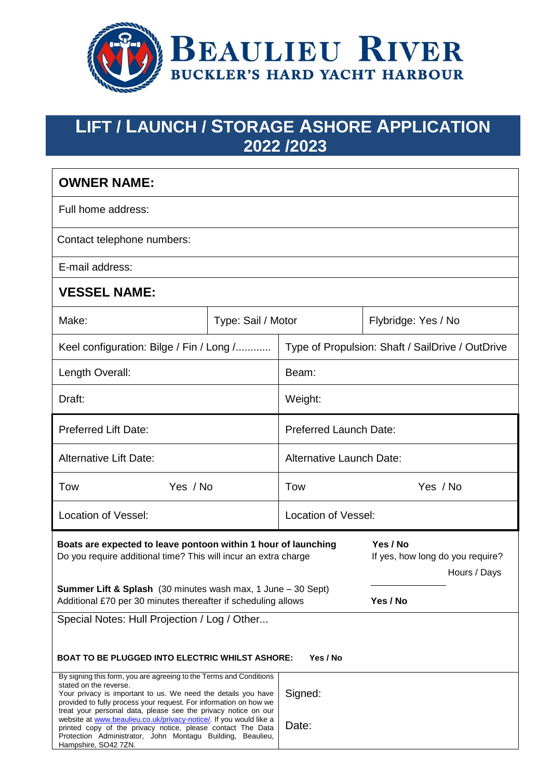

# **LIFT / LAUNCH / STORAGE ASHORE APPLICATION 2022 /2023**

| <b>OWNER NAME:</b>                                                                                                                                                                                                                                                                                                                                                                                                                        |                    |                                                  |                                                              |  |  |
|-------------------------------------------------------------------------------------------------------------------------------------------------------------------------------------------------------------------------------------------------------------------------------------------------------------------------------------------------------------------------------------------------------------------------------------------|--------------------|--------------------------------------------------|--------------------------------------------------------------|--|--|
| Full home address:                                                                                                                                                                                                                                                                                                                                                                                                                        |                    |                                                  |                                                              |  |  |
| Contact telephone numbers:                                                                                                                                                                                                                                                                                                                                                                                                                |                    |                                                  |                                                              |  |  |
| E-mail address:                                                                                                                                                                                                                                                                                                                                                                                                                           |                    |                                                  |                                                              |  |  |
| <b>VESSEL NAME:</b>                                                                                                                                                                                                                                                                                                                                                                                                                       |                    |                                                  |                                                              |  |  |
| Make:                                                                                                                                                                                                                                                                                                                                                                                                                                     | Type: Sail / Motor |                                                  | Flybridge: Yes / No                                          |  |  |
| Keel configuration: Bilge / Fin / Long /                                                                                                                                                                                                                                                                                                                                                                                                  |                    | Type of Propulsion: Shaft / SailDrive / OutDrive |                                                              |  |  |
| Length Overall:                                                                                                                                                                                                                                                                                                                                                                                                                           |                    | Beam:                                            |                                                              |  |  |
| Draft:                                                                                                                                                                                                                                                                                                                                                                                                                                    |                    | Weight:                                          |                                                              |  |  |
| <b>Preferred Lift Date:</b>                                                                                                                                                                                                                                                                                                                                                                                                               |                    | <b>Preferred Launch Date:</b>                    |                                                              |  |  |
| <b>Alternative Lift Date:</b>                                                                                                                                                                                                                                                                                                                                                                                                             |                    | Alternative Launch Date:                         |                                                              |  |  |
| Yes / No<br>Tow                                                                                                                                                                                                                                                                                                                                                                                                                           |                    | Tow                                              | Yes / No                                                     |  |  |
| <b>Location of Vessel:</b>                                                                                                                                                                                                                                                                                                                                                                                                                |                    | <b>Location of Vessel:</b>                       |                                                              |  |  |
| Boats are expected to leave pontoon within 1 hour of launching<br>Do you require additional time? This will incur an extra charge                                                                                                                                                                                                                                                                                                         |                    |                                                  | Yes / No<br>If yes, how long do you require?<br>Hours / Days |  |  |
| <b>Summer Lift &amp; Splash</b> (30 minutes wash max, 1 June - 30 Sept)<br>Additional £70 per 30 minutes thereafter if scheduling allows                                                                                                                                                                                                                                                                                                  |                    |                                                  | Yes / No                                                     |  |  |
| Special Notes: Hull Projection / Log / Other                                                                                                                                                                                                                                                                                                                                                                                              |                    |                                                  |                                                              |  |  |
| Yes / No<br><b>BOAT TO BE PLUGGED INTO ELECTRIC WHILST ASHORE:</b>                                                                                                                                                                                                                                                                                                                                                                        |                    |                                                  |                                                              |  |  |
| By signing this form, you are agreeing to the Terms and Conditions<br>stated on the reverse.<br>Your privacy is important to us. We need the details you have<br>provided to fully process your request. For information on how we<br>treat your personal data, please see the privacy notice on our<br>website at www.beaulieu.co.uk/privacy-notice/. If you would like a<br>printed copy of the privacy notice, please contact The Data |                    | Signed:<br>Date:                                 |                                                              |  |  |
| Protection Administrator, John Montagu Building, Beaulieu,<br>Hampshire, SO42 7ZN.                                                                                                                                                                                                                                                                                                                                                        |                    |                                                  |                                                              |  |  |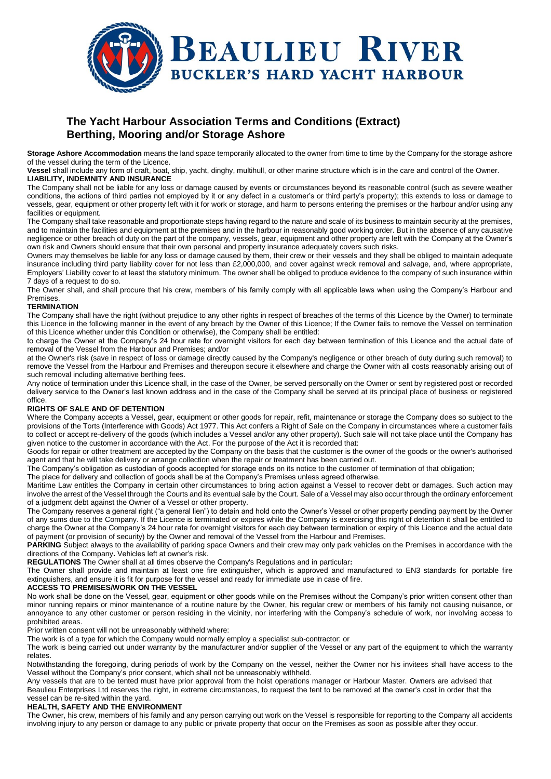

# **The Yacht Harbour Association Terms and Conditions (Extract) Berthing, Mooring and/or Storage Ashore**

**Storage Ashore Accommodation** means the land space temporarily allocated to the owner from time to time by the Company for the storage ashore of the vessel during the term of the Licence.

**Vessel** shall include any form of craft, boat, ship, yacht, dinghy, multihull, or other marine structure which is in the care and control of the Owner. **LIABILITY, INDEMNITY AND INSURANCE** 

The Company shall not be liable for any loss or damage caused by events or circumstances beyond its reasonable control (such as severe weather conditions, the actions of third parties not employed by it or any defect in a customer's or third party's property); this extends to loss or damage to vessels, gear, equipment or other property left with it for work or storage, and harm to persons entering the premises or the harbour and/or using any facilities or equipment.

The Company shall take reasonable and proportionate steps having regard to the nature and scale of its business to maintain security at the premises, and to maintain the facilities and equipment at the premises and in the harbour in reasonably good working order. But in the absence of any causative negligence or other breach of duty on the part of the company, vessels, gear, equipment and other property are left with the Company at the Owner's own risk and Owners should ensure that their own personal and property insurance adequately covers such risks.

Owners may themselves be liable for any loss or damage caused by them, their crew or their vessels and they shall be obliged to maintain adequate insurance including third party liability cover for not less than £2,000,000, and cover against wreck removal and salvage, and, where appropriate, Employers' Liability cover to at least the statutory minimum. The owner shall be obliged to produce evidence to the company of such insurance within 7 days of a request to do so.

The Owner shall, and shall procure that his crew, members of his family comply with all applicable laws when using the Company's Harbour and Premises.

## **TERMINATION**

The Company shall have the right (without prejudice to any other rights in respect of breaches of the terms of this Licence by the Owner) to terminate this Licence in the following manner in the event of any breach by the Owner of this Licence; If the Owner fails to remove the Vessel on termination of this Licence whether under this Condition or otherwise), the Company shall be entitled:

to charge the Owner at the Company's 24 hour rate for overnight visitors for each day between termination of this Licence and the actual date of removal of the Vessel from the Harbour and Premises; and/or

at the Owner's risk (save in respect of loss or damage directly caused by the Company's negligence or other breach of duty during such removal) to remove the Vessel from the Harbour and Premises and thereupon secure it elsewhere and charge the Owner with all costs reasonably arising out of such removal including alternative berthing fees.

Any notice of termination under this Licence shall, in the case of the Owner, be served personally on the Owner or sent by registered post or recorded delivery service to the Owner's last known address and in the case of the Company shall be served at its principal place of business or registered office.

## **RIGHTS OF SALE AND OF DETENTION**

Where the Company accepts a Vessel, gear, equipment or other goods for repair, refit, maintenance or storage the Company does so subject to the provisions of the Torts (Interference with Goods) Act 1977. This Act confers a Right of Sale on the Company in circumstances where a customer fails to collect or accept re-delivery of the goods (which includes a Vessel and/or any other property). Such sale will not take place until the Company has given notice to the customer in accordance with the Act. For the purpose of the Act it is recorded that:

Goods for repair or other treatment are accepted by the Company on the basis that the customer is the owner of the goods or the owner's authorised agent and that he will take delivery or arrange collection when the repair or treatment has been carried out.

The Company's obligation as custodian of goods accepted for storage ends on its notice to the customer of termination of that obligation;

The place for delivery and collection of goods shall be at the Company's Premises unless agreed otherwise.

Maritime Law entitles the Company in certain other circumstances to bring action against a Vessel to recover debt or damages. Such action may involve the arrest of the Vessel through the Courts and its eventual sale by the Court. Sale of a Vessel may also occur through the ordinary enforcement of a judgment debt against the Owner of a Vessel or other property.

The Company reserves a general right ("a general lien") to detain and hold onto the Owner's Vessel or other property pending payment by the Owner of any sums due to the Company. If the Licence is terminated or expires while the Company is exercising this right of detention it shall be entitled to charge the Owner at the Company's 24 hour rate for overnight visitors for each day between termination or expiry of this Licence and the actual date of payment (or provision of security) by the Owner and removal of the Vessel from the Harbour and Premises.

**PARKING** Subject always to the availability of parking space Owners and their crew may only park vehicles on the Premises in accordance with the directions of the Company**.** Vehicles left at owner's risk.

**REGULATIONS** The Owner shall at all times observe the Company's Regulations and in particular**:** 

The Owner shall provide and maintain at least one fire extinguisher, which is approved and manufactured to EN3 standards for portable fire extinguishers, and ensure it is fit for purpose for the vessel and ready for immediate use in case of fire.

#### **ACCESS TO PREMISES/WORK ON THE VESSEL**

No work shall be done on the Vessel, gear, equipment or other goods while on the Premises without the Company's prior written consent other than minor running repairs or minor maintenance of a routine nature by the Owner, his regular crew or members of his family not causing nuisance, or annoyance to any other customer or person residing in the vicinity, nor interfering with the Company's schedule of work, nor involving access to prohibited areas.

Prior written consent will not be unreasonably withheld where:

The work is of a type for which the Company would normally employ a specialist sub-contractor; or

The work is being carried out under warranty by the manufacturer and/or supplier of the Vessel or any part of the equipment to which the warranty relates.

Notwithstanding the foregoing, during periods of work by the Company on the vessel, neither the Owner nor his invitees shall have access to the Vessel without the Company's prior consent, which shall not be unreasonably withheld.

Any vessels that are to be tented must have prior approval from the hoist operations manager or Harbour Master. Owners are advised that Beaulieu Enterprises Ltd reserves the right, in extreme circumstances, to request the tent to be removed at the owner's cost in order that the vessel can be re-sited within the yard.

## **HEALTH, SAFETY AND THE ENVIRONMENT**

The Owner, his crew, members of his family and any person carrying out work on the Vessel is responsible for reporting to the Company all accidents involving injury to any person or damage to any public or private property that occur on the Premises as soon as possible after they occur.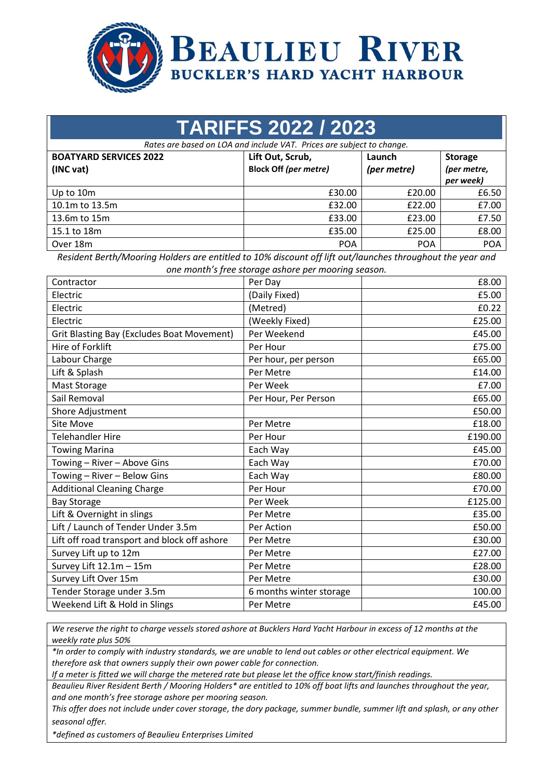

| <b>TARIFFS 2022 / 2023</b>                                            |                                                  |                       |                                            |  |  |  |
|-----------------------------------------------------------------------|--------------------------------------------------|-----------------------|--------------------------------------------|--|--|--|
| Rates are based on LOA and include VAT. Prices are subject to change. |                                                  |                       |                                            |  |  |  |
| <b>BOATYARD SERVICES 2022</b><br>(INC vat)                            | Lift Out, Scrub,<br><b>Block Off (per metre)</b> | Launch<br>(per metre) | <b>Storage</b><br>(per metre,<br>per week) |  |  |  |
| Up to 10m                                                             | £30.00                                           | £20.00                | £6.50                                      |  |  |  |
| 10.1m to 13.5m                                                        | £32.00                                           | £22.00                | £7.00                                      |  |  |  |
| 13.6m to 15m                                                          | £33.00                                           | £23.00                | £7.50                                      |  |  |  |
| 15.1 to 18m                                                           | £35.00                                           | £25.00                | £8.00                                      |  |  |  |
| Over 18m                                                              | <b>POA</b>                                       | <b>POA</b>            | <b>POA</b>                                 |  |  |  |

*Resident Berth/Mooring Holders are entitled to 10% discount off lift out/launches throughout the year and one month's free storage ashore per mooring season.*

| Contractor                                        | Per Day                 | £8.00   |
|---------------------------------------------------|-------------------------|---------|
| Electric                                          | (Daily Fixed)           | £5.00   |
| Electric                                          | (Metred)                | £0.22   |
| Electric                                          | (Weekly Fixed)          | £25.00  |
| <b>Grit Blasting Bay (Excludes Boat Movement)</b> | Per Weekend             | £45.00  |
| Hire of Forklift                                  | Per Hour                | £75.00  |
| Labour Charge                                     | Per hour, per person    | £65.00  |
| Lift & Splash                                     | Per Metre               | £14.00  |
| Mast Storage                                      | Per Week                | £7.00   |
| Sail Removal                                      | Per Hour, Per Person    | £65.00  |
| Shore Adjustment                                  |                         | £50.00  |
| <b>Site Move</b>                                  | Per Metre               | £18.00  |
| <b>Telehandler Hire</b>                           | Per Hour                | £190.00 |
| <b>Towing Marina</b>                              | Each Way                | £45.00  |
| Towing - River - Above Gins                       | Each Way                | £70.00  |
| Towing - River - Below Gins                       | Each Way                | £80.00  |
| <b>Additional Cleaning Charge</b>                 | Per Hour                | £70.00  |
| <b>Bay Storage</b>                                | Per Week                | £125.00 |
| Lift & Overnight in slings                        | Per Metre               | £35.00  |
| Lift / Launch of Tender Under 3.5m                | Per Action              | £50.00  |
| Lift off road transport and block off ashore      | Per Metre               | £30.00  |
| Survey Lift up to 12m                             | Per Metre               | £27.00  |
| Survey Lift 12.1m - 15m                           | Per Metre               | £28.00  |
| Survey Lift Over 15m                              | Per Metre               | £30.00  |
| Tender Storage under 3.5m                         | 6 months winter storage | 100.00  |
| Weekend Lift & Hold in Slings                     | Per Metre               | £45.00  |

*We reserve the right to charge vessels stored ashore at Bucklers Hard Yacht Harbour in excess of 12 months at the weekly rate plus 50%*

*\*In order to comply with industry standards, we are unable to lend out cables or other electrical equipment. We therefore ask that owners supply their own power cable for connection.* 

*If a meter is fitted we will charge the metered rate but please let the office know start/finish readings.*

*Beaulieu River Resident Berth / Mooring Holders\* are entitled to 10% off boat lifts and launches throughout the year, and one month's free storage ashore per mooring season.*

*This offer does not include under cover storage, the dory package, summer bundle, summer lift and splash, or any other seasonal offer.*

*\*defined as customers of Beaulieu Enterprises Limited*